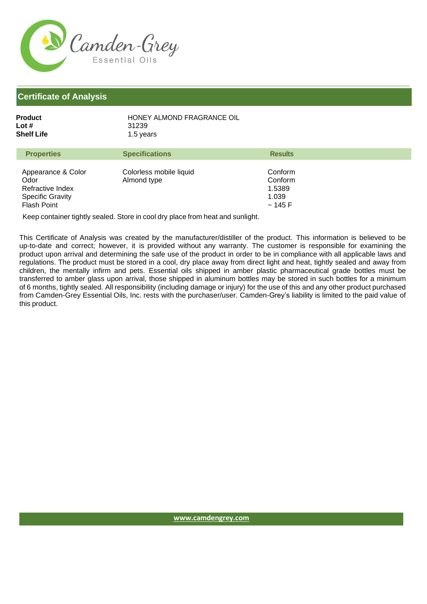

## **Certificate of Analysis**

| Product    | HONEY ALMOND FRAGRANCE OIL |
|------------|----------------------------|
| Lot #      | 31239                      |
| Shelf Life | 1.5 years                  |

| <b>Results</b>                         |
|----------------------------------------|
| Conform<br>Conform<br>1.5389<br>~145 F |
|                                        |

Keep container tightly sealed. Store in cool dry place from heat and sunlight.

This Certificate of Analysis was created by the manufacturer/distiller of the product. This information is believed to be up-to-date and correct; however, it is provided without any warranty. The customer is responsible for examining the product upon arrival and determining the safe use of the product in order to be in compliance with all applicable laws and regulations. The product must be stored in a cool, dry place away from direct light and heat, tightly sealed and away from children, the mentally infirm and pets. Essential oils shipped in amber plastic pharmaceutical grade bottles must be transferred to amber glass upon arrival, those shipped in aluminum bottles may be stored in such bottles for a minimum of 6 months, tightly sealed. All responsibility (including damage or injury) for the use of this and any other product purchased from Camden-Grey Essential Oils, Inc. rests with the purchaser/user. Camden-Grey's liability is limited to the paid value of this product.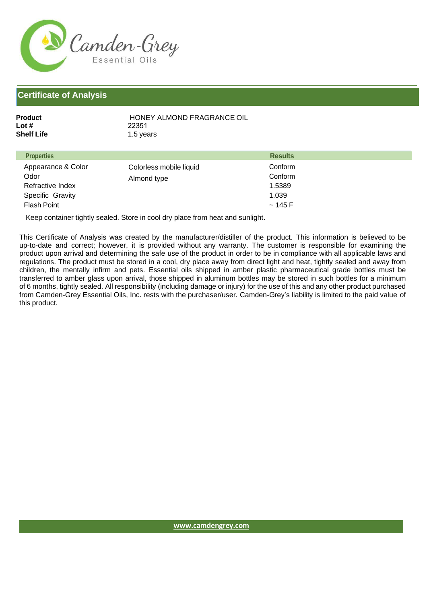

## **Certificate of Analysis**

| Product    | HONEY ALMOND FRAGRANCE OIL |
|------------|----------------------------|
| Lot #      | 22351                      |
| Shelf Life | 1.5 years                  |

| <b>Properties</b>                                                  |                                        | <b>Results</b>                        |
|--------------------------------------------------------------------|----------------------------------------|---------------------------------------|
| Appearance & Color<br>Odor<br>Refractive Index<br>Specific Gravity | Colorless mobile liquid<br>Almond type | Conform<br>Conform<br>1.5389<br>1.039 |
| <b>Flash Point</b>                                                 |                                        | $\sim$ 145 F                          |

Keep container tightly sealed. Store in cool dry place from heat and sunlight.

This Certificate of Analysis was created by the manufacturer/distiller of the product. This information is believed to be up-to-date and correct; however, it is provided without any warranty. The customer is responsible for examining the product upon arrival and determining the safe use of the product in order to be in compliance with all applicable laws and regulations. The product must be stored in a cool, dry place away from direct light and heat, tightly sealed and away from children, the mentally infirm and pets. Essential oils shipped in amber plastic pharmaceutical grade bottles must be transferred to amber glass upon arrival, those shipped in aluminum bottles may be stored in such bottles for a minimum of 6 months, tightly sealed. All responsibility (including damage or injury) for the use of this and any other product purchased from Camden-Grey Essential Oils, Inc. rests with the purchaser/user. Camden-Grey's liability is limited to the paid value of this product.